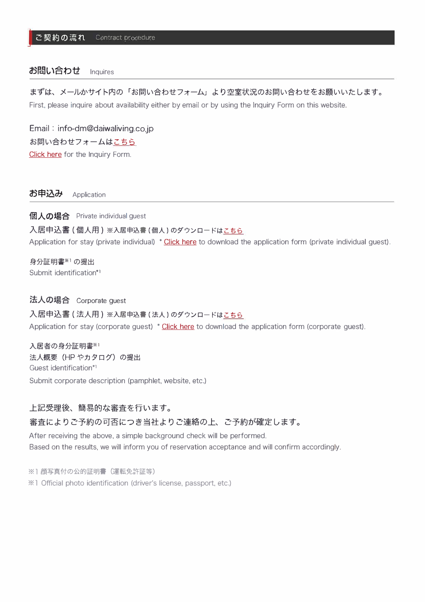## **お問い合わせ** Inquires

まずは、 メ<sup>ー</sup>ルかサイト内の「お問い合わせフォ<sup>ー</sup>ム」 より空室状況のお問い合わせをお願いいたします。 First, please inquire about availability either by email or by using the Inquiry Form on this website.

Email : info-dm@daiwaliving.cojp Click here for the Inquiry Form. お問い合わせフォームは[こちら](https://www.d-resi.jp/monthly/inquiry/)

お申込み Application

個人の場合 Private individual guest 入居申込書(個人用)※入居申込書(個人)のダウンロード[はこちら](https://www.d-resi.jp/monthly/app/p_j.pdf) Application for stay (private individual) \* Click here to download the application form (private individual guest).

身分証明書※<sup>1</sup> の提出 Submit identification\*1

## 法人の場合 Corporate quest

入居申込書(法人用)※入居申込書(法人)のダウンロード[はこちら](https://www.d-resi.jp/monthly/app/c_j.pdf)

Application for stay (corporate guest) <sup>\*</sup> Click here to download the application form (corporate guest).

入居者の身分証明書※1 法人概要 (HP やカタログ)の提出 Guest identification\*1 Submit corporate description (pamphlet, website, etc.)

#### 上記受理後、 簡易的な審査を行います。

## 審査によりこ予約の可否につき当社よりこ連絡の上、 こ予約が確定します。

After receiving the above. a simple background check will be performed. Based on the results. we will inform you of reservation acceptance and will confirm accordingly.

※1 顔写真付の公的証明書 (運転免許証等) ※l Official photo identification (driver's license, passport, etc.)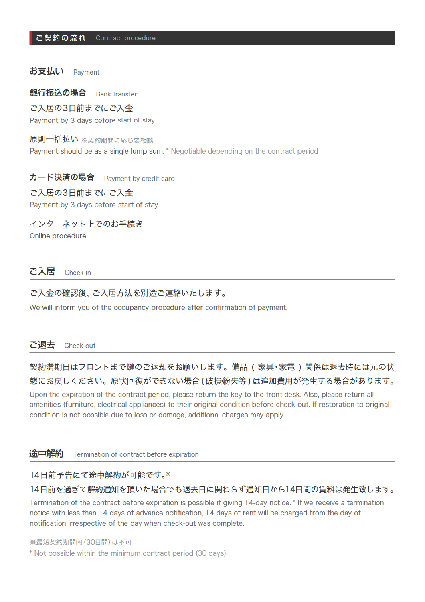#### お支払い Payment

銀行振込の場合 **Bank transfer** 

# ご入居の3日前までにご入金

Payment by 3 days before start of stay

#### 原則一括払い ※契約期間に応じ要相談

Payment should be as a single lump sum. \* Negotiable depending on the contract period

#### カード決済の場合 Payment by credit card

## ご入居の3日前までにご入金 Payment by 3 days before start of stay

インターネット上でのお手続き

Online procedure

#### ご入居 Check-in

#### ご入金の確認後、ご入居方法を別途ご連絡いたします。

We will inform you of the occupancy procedure after confirmation of payment.

#### ご退去 Check-out

# 契約満期日はフロントまで鍵のご返却をお願いします。備品(家具・家電)関係は退去時には元の状 熊にお戻しください。原状回復ができない場合 (破損紛失等) は追加費用が発生する場合があります。

Upon the expiration of the contract period, please return the key to the front desk. Also, please return all amenities (furniture, electrical appliances) to their original condition before check-out. If restoration to original condition is not possible due to loss or damage, additional charges may apply.

#### 涂中解約 Termination of contract before expiration

## 14日前予告にて途中解約が可能です。※

## 14日前を過ぎて解約通知を頂いた場合でも退去日に関わらず通知日から14日間の賃料は発生致します。

Termination of the contract before expiration is possible if giving 14-day notice. \* If we receive a termination notice with less than 14 days of advance notification, 14 days of rent will be charged from the day of notification irrespective of the day when check-out was complete.

※最短契約期間内 (30日間) は不可

\* Not possible within the minimum contract period (30 days)